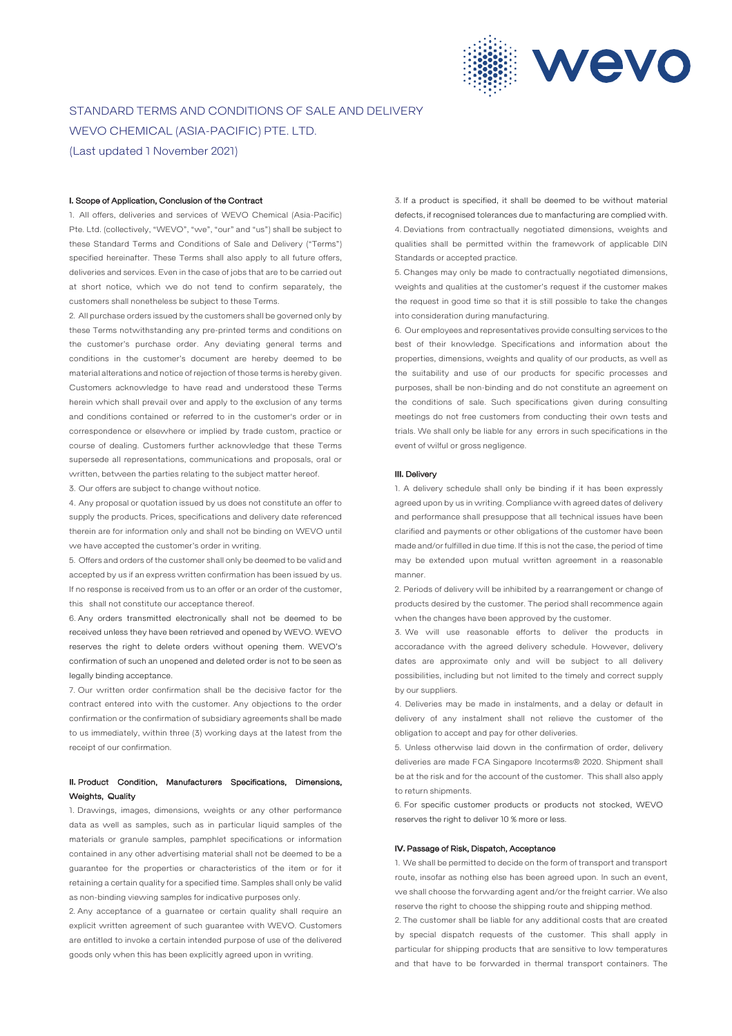

# STANDARD TERMS AND CONDITIONS OF SALE AND DELIVERY WEVO CHEMICAL (ASIA-PACIFIC) PTE. LTD. (Last updated 1 November 2021)

#### I. Scope of Application, Conclusion of the Contract

1. All offers, deliveries and services of WEVO Chemical (Asia-Pacific) Pte. Ltd. (collectively, "WEVO", "we", "our" and "us") shall be subject to these Standard Terms and Conditions of Sale and Delivery ("Terms") specified hereinafter. These Terms shall also apply to all future offers, deliveries and services. Even in the case of jobs that are to be carried out at short notice, which we do not tend to confirm separately, the customers shall nonetheless be subject to these Terms.

2. All purchase orders issued by the customers shall be governed only by these Terms notwithstanding any pre-printed terms and conditions on the customer's purchase order. Any deviating general terms and conditions in the customer's document are hereby deemed to be material alterations and notice of rejection of those terms is hereby given. Customers acknowledge to have read and understood these Terms herein which shall prevail over and apply to the exclusion of any terms and conditions contained or referred to in the customer's order or in correspondence or elsewhere or implied by trade custom, practice or course of dealing. Customers further acknowledge that these Terms supersede all representations, communications and proposals, oral or written, between the parties relating to the subject matter hereof.

3. Our offers are subject to change without notice.

4. Any proposal or quotation issued by us does not constitute an offer to supply the products. Prices, specifications and delivery date referenced therein are for information only and shall not be binding on WEVO until we have accepted the customer's order in writing.

5. Offers and orders of the customer shall only be deemed to be valid and accepted by us if an express written confirmation has been issued by us. If no response is received from us to an offer or an order of the customer, this shall not constitute our acceptance thereof.

6. Any orders transmitted electronically shall not be deemed to be received unless they have been retrieved and opened by WEVO. WEVO reserves the right to delete orders without opening them. WEVO's confirmation of such an unopened and deleted order is not to be seen as legally binding acceptance.

7. Our written order confirmation shall be the decisive factor for the contract entered into with the customer. Any objections to the order confirmation or the confirmation of subsidiary agreements shall be made to us immediately, within three (3) working days at the latest from the receipt of our confirmation.

# II. Product Condition, Manufacturers Specifications, Dimensions, Weights, Quality

1. Drawings, images, dimensions, weights or any other performance data as well as samples, such as in particular liquid samples of the materials or granule samples, pamphlet specifications or information contained in any other advertising material shall not be deemed to be a guarantee for the properties or characteristics of the item or for it retaining a certain quality for a specified time. Samples shall only be valid as non-binding viewing samples for indicative purposes only.

2. Any acceptance of a guarnatee or certain quality shall require an explicit written agreement of such guarantee with WEVO. Customers are entitled to invoke a certain intended purpose of use of the delivered goods only when this has been explicitly agreed upon in writing.

3. If a product is specified, it shall be deemed to be without material defects, if recognised tolerances due to manfacturing are complied with. 4. Deviations from contractually negotiated dimensions, weights and qualities shall be permitted within the framework of applicable DIN Standards or accepted practice.

5. Changes may only be made to contractually negotiated dimensions, weights and qualities at the customer's request if the customer makes the request in good time so that it is still possible to take the changes into consideration during manufacturing.

6. Our employees and representatives provide consulting services to the best of their knowledge. Specifications and information about the properties, dimensions, weights and quality of our products, as well as the suitability and use of our products for specific processes and purposes, shall be non-binding and do not constitute an agreement on the conditions of sale. Such specifications given during consulting meetings do not free customers from conducting their own tests and trials. We shall only be liable for any errors in such specifications in the event of wilful or gross negligence.

## III. Delivery

1. A delivery schedule shall only be binding if it has been expressly agreed upon by us in writing. Compliance with agreed dates of delivery and performance shall presuppose that all technical issues have been clarified and payments or other obligations of the customer have been made and/or fulfilled in due time. If this is not the case, the period of time may be extended upon mutual written agreement in a reasonable manner.

2. Periods of delivery will be inhibited by a rearrangement or change of products desired by the customer. The period shall recommence again when the changes have been approved by the customer.

3. We will use reasonable efforts to deliver the products in accoradance with the agreed delivery schedule. However, delivery dates are approximate only and will be subject to all delivery possibilities, including but not limited to the timely and correct supply by our suppliers.

4. Deliveries may be made in instalments, and a delay or default in delivery of any instalment shall not relieve the customer of the obligation to accept and pay for other deliveries.

5. Unless otherwise laid down in the confirmation of order, delivery deliveries are made FCA Singapore Incoterms® 2020. Shipment shall be at the risk and for the account of the customer. This shall also apply to return shipments.

6. For specific customer products or products not stocked, WEVO reserves the right to deliver 10 % more or less.

#### IV. Passage of Risk, Dispatch, Acceptance

1. We shall be permitted to decide on the form of transport and transport route, insofar as nothing else has been agreed upon. In such an event, we shall choose the forwarding agent and/or the freight carrier. We also reserve the right to choose the shipping route and shipping method.

2. The customer shall be liable for any additional costs that are created by special dispatch requests of the customer. This shall apply in particular for shipping products that are sensitive to low temperatures and that have to be forwarded in thermal transport containers. The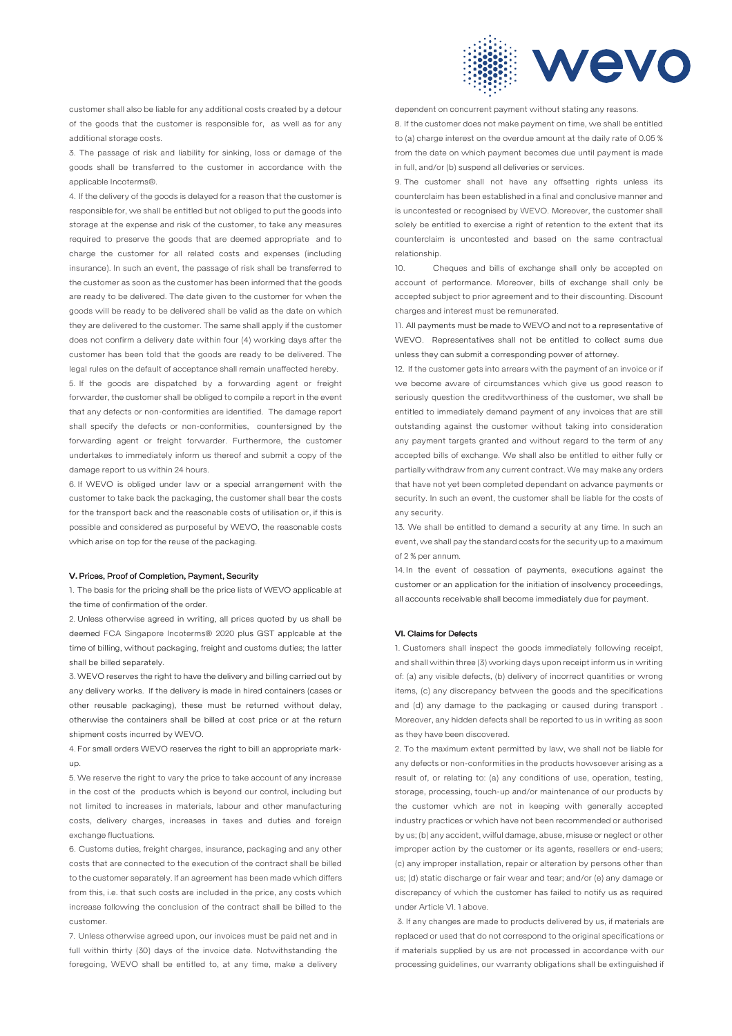

customer shall also be liable for any additional costs created by a detour of the goods that the customer is responsible for, as well as for any additional storage costs.

3. The passage of risk and liability for sinking, loss or damage of the goods shall be transferred to the customer in accordance with the applicable Incoterms®.

4. If the delivery of the goods is delayed for a reason that the customer is responsible for, we shall be entitled but not obliged to put the goods into storage at the expense and risk of the customer, to take any measures required to preserve the goods that are deemed appropriate and to charge the customer for all related costs and expenses (including insurance). In such an event, the passage of risk shall be transferred to the customer as soon as the customer has been informed that the goods are ready to be delivered. The date given to the customer for when the goods will be ready to be delivered shall be valid as the date on which they are delivered to the customer. The same shall apply if the customer does not confirm a delivery date within four (4) working days after the customer has been told that the goods are ready to be delivered. The legal rules on the default of acceptance shall remain unaffected hereby. 5. If the goods are dispatched by a forwarding agent or freight forwarder, the customer shall be obliged to compile a report in the event that any defects or non-conformities are identified. The damage report shall specify the defects or non-conformities, countersigned by the forwarding agent or freight forwarder. Furthermore, the customer undertakes to immediately inform us thereof and submit a copy of the damage report to us within 24 hours.

6. If WEVO is obliged under law or a special arrangement with the customer to take back the packaging, the customer shall bear the costs for the transport back and the reasonable costs of utilisation or, if this is possible and considered as purposeful by WEVO, the reasonable costs which arise on top for the reuse of the packaging.

## V. Prices, Proof of Completion, Payment, Security

1. The basis for the pricing shall be the price lists of WEVO applicable at the time of confirmation of the order.

2. Unless otherwise agreed in writing, all prices quoted by us shall be deemed FCA Singapore Incoterms® 2020 plus GST applcable at the time of billing, without packaging, freight and customs duties; the latter shall be billed separately.

3. WEVO reserves the right to have the delivery and billing carried out by any delivery works. If the delivery is made in hired containers (cases or other reusable packaging), these must be returned without delay, otherwise the containers shall be billed at cost price or at the return shipment costs incurred by WEVO.

4. For small orders WEVO reserves the right to bill an appropriate markup.

5. We reserve the right to vary the price to take account of any increase in the cost of the products which is beyond our control, including but not limited to increases in materials, labour and other manufacturing costs, delivery charges, increases in taxes and duties and foreign exchange fluctuations.

6. Customs duties, freight charges, insurance, packaging and any other costs that are connected to the execution of the contract shall be billed to the customer separately. If an agreement has been made which differs from this, i.e. that such costs are included in the price, any costs which increase following the conclusion of the contract shall be billed to the customer.

7. Unless otherwise agreed upon, our invoices must be paid net and in full within thirty (30) days of the invoice date. Notwithstanding the foregoing, WEVO shall be entitled to, at any time, make a delivery dependent on concurrent payment without stating any reasons.

8. If the customer does not make payment on time, we shall be entitled to (a) charge interest on the overdue amount at the daily rate of 0.05 % from the date on which payment becomes due until payment is made in full, and/or (b) suspend all deliveries or services.

9. The customer shall not have any offsetting rights unless its counterclaim has been established in a final and conclusive manner and is uncontested or recognised by WEVO. Moreover, the customer shall solely be entitled to exercise a right of retention to the extent that its counterclaim is uncontested and based on the same contractual relationship.

10. Cheques and bills of exchange shall only be accepted on account of performance. Moreover, bills of exchange shall only be accepted subject to prior agreement and to their discounting. Discount charges and interest must be remunerated.

11. All payments must be made to WEVO and not to a representative of WEVO. Representatives shall not be entitled to collect sums due unless they can submit a corresponding power of attorney.

12. If the customer gets into arrears with the payment of an invoice or if we become aware of circumstances which give us good reason to seriously question the creditworthiness of the customer, we shall be entitled to immediately demand payment of any invoices that are still outstanding against the customer without taking into consideration any payment targets granted and without regard to the term of any accepted bills of exchange. We shall also be entitled to either fully or partially withdraw from any current contract. We may make any orders that have not yet been completed dependant on advance payments or security. In such an event, the customer shall be liable for the costs of any security.

13. We shall be entitled to demand a security at any time. In such an event, we shall pay the standard costs for the security up to a maximum of 2 % per annum.

14. In the event of cessation of payments, executions against the customer or an application for the initiation of insolvency proceedings, all accounts receivable shall become immediately due for payment.

#### VI. Claims for Defects

1. Customers shall inspect the goods immediately following receipt, and shall within three (3) working days upon receipt inform us in writing of: (a) any visible defects, (b) delivery of incorrect quantities or wrong items, (c) any discrepancy between the goods and the specifications and (d) any damage to the packaging or caused during transport . Moreover, any hidden defects shall be reported to us in writing as soon as they have been discovered.

2. To the maximum extent permitted by law, we shall not be liable for any defects or non-conformities in the products howsoever arising as a result of, or relating to: (a) any conditions of use, operation, testing, storage, processing, touch-up and/or maintenance of our products by the customer which are not in keeping with generally accepted industry practices or which have not been recommended or authorised by us; (b) any accident, wilful damage, abuse, misuse or neglect or other improper action by the customer or its agents, resellers or end-users; (c) any improper installation, repair or alteration by persons other than us; (d) static discharge or fair wear and tear; and/or (e) any damage or discrepancy of which the customer has failed to notify us as required under Article VI. 1 above.

3. If any changes are made to products delivered by us, if materials are replaced or used that do not correspond to the original specifications or if materials supplied by us are not processed in accordance with our processing guidelines, our warranty obligations shall be extinguished if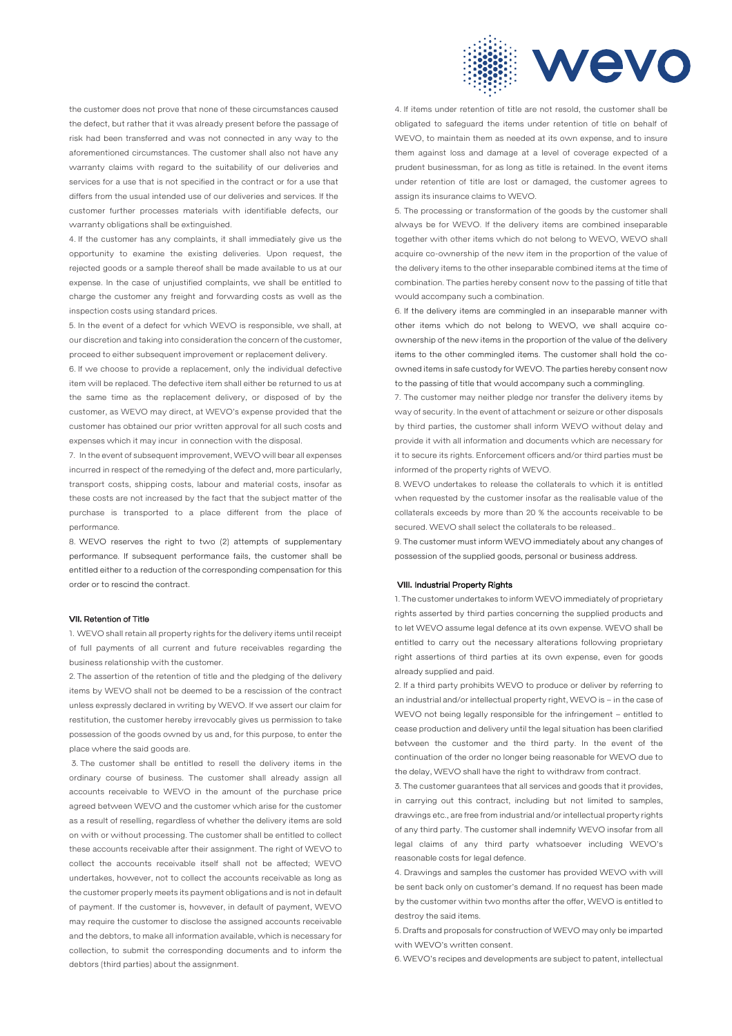

the customer does not prove that none of these circumstances caused the defect, but rather that it was already present before the passage of risk had been transferred and was not connected in any way to the aforementioned circumstances. The customer shall also not have any warranty claims with regard to the suitability of our deliveries and services for a use that is not specified in the contract or for a use that differs from the usual intended use of our deliveries and services. If the customer further processes materials with identifiable defects, our warranty obligations shall be extinguished.

4. If the customer has any complaints, it shall immediately give us the opportunity to examine the existing deliveries. Upon request, the rejected goods or a sample thereof shall be made available to us at our expense. In the case of unjustified complaints, we shall be entitled to charge the customer any freight and forwarding costs as well as the inspection costs using standard prices.

5. In the event of a defect for which WEVO is responsible, we shall, at our discretion and taking into consideration the concern of the customer, proceed to either subsequent improvement or replacement delivery.

6. If we choose to provide a replacement, only the individual defective item will be replaced. The defective item shall either be returned to us at the same time as the replacement delivery, or disposed of by the customer, as WEVO may direct, at WEVO's expense provided that the customer has obtained our prior written approval for all such costs and expenses which it may incur in connection with the disposal.

7. In the event of subsequent improvement, WEVO will bear all expenses incurred in respect of the remedying of the defect and, more particularly, transport costs, shipping costs, labour and material costs, insofar as these costs are not increased by the fact that the subject matter of the purchase is transported to a place different from the place of performance.

8. WEVO reserves the right to two (2) attempts of supplementary performance. If subsequent performance fails, the customer shall be entitled either to a reduction of the corresponding compensation for this order or to rescind the contract.

## VII. Retention of Title

1. WEVO shall retain all property rights for the delivery items until receipt of full payments of all current and future receivables regarding the business relationship with the customer.

2. The assertion of the retention of title and the pledging of the delivery items by WEVO shall not be deemed to be a rescission of the contract unless expressly declared in writing by WEVO. If we assert our claim for restitution, the customer hereby irrevocably gives us permission to take possession of the goods owned by us and, for this purpose, to enter the place where the said goods are.

3. The customer shall be entitled to resell the delivery items in the ordinary course of business. The customer shall already assign all accounts receivable to WEVO in the amount of the purchase price agreed between WEVO and the customer which arise for the customer as a result of reselling, regardless of whether the delivery items are sold on with or without processing. The customer shall be entitled to collect these accounts receivable after their assignment. The right of WEVO to collect the accounts receivable itself shall not be affected; WEVO undertakes, however, not to collect the accounts receivable as long as the customer properly meets its payment obligations and is not in default of payment. If the customer is, however, in default of payment, WEVO may require the customer to disclose the assigned accounts receivable and the debtors, to make all information available, which is necessary for collection, to submit the corresponding documents and to inform the debtors (third parties) about the assignment.

4. If items under retention of title are not resold, the customer shall be obligated to safeguard the items under retention of title on behalf of WEVO, to maintain them as needed at its own expense, and to insure them against loss and damage at a level of coverage expected of a prudent businessman, for as long as title is retained. In the event items under retention of title are lost or damaged, the customer agrees to assign its insurance claims to WEVO.

5. The processing or transformation of the goods by the customer shall always be for WEVO. If the delivery items are combined inseparable together with other items which do not belong to WEVO, WEVO shall acquire co-ownership of the new item in the proportion of the value of the delivery items to the other inseparable combined items at the time of combination. The parties hereby consent now to the passing of title that would accompany such a combination.

6. If the delivery items are commingled in an inseparable manner with other items which do not belong to WEVO, we shall acquire coownership of the new items in the proportion of the value of the delivery items to the other commingled items. The customer shall hold the coowned items in safe custody for WEVO. The parties hereby consent now to the passing of title that would accompany such a commingling.

7. The customer may neither pledge nor transfer the delivery items by way of security. In the event of attachment or seizure or other disposals by third parties, the customer shall inform WEVO without delay and provide it with all information and documents which are necessary for it to secure its rights. Enforcement officers and/or third parties must be informed of the property rights of WEVO.

8. WEVO undertakes to release the collaterals to which it is entitled when requested by the customer insofar as the realisable value of the collaterals exceeds by more than 20 % the accounts receivable to be secured. WEVO shall select the collaterals to be released..

9. The customer must inform WEVO immediately about any changes of possession of the supplied goods, personal or business address.

## VIII. Industrial Property Rights

1. The customer undertakes to inform WEVO immediately of proprietary rights asserted by third parties concerning the supplied products and to let WEVO assume legal defence at its own expense. WEVO shall be entitled to carry out the necessary alterations following proprietary right assertions of third parties at its own expense, even for goods already supplied and paid.

2. If a third party prohibits WEVO to produce or deliver by referring to an industrial and/or intellectual property right, WEVO is – in the case of WEVO not being legally responsible for the infringement – entitled to cease production and delivery until the legal situation has been clarified between the customer and the third party. In the event of the continuation of the order no longer being reasonable for WEVO due to the delay, WEVO shall have the right to withdraw from contract.

3. The customer guarantees that all services and goods that it provides, in carrying out this contract, including but not limited to samples, drawings etc., are free from industrial and/or intellectual property rights of any third party. The customer shall indemnify WEVO insofar from all legal claims of any third party whatsoever including WEVO's reasonable costs for legal defence.

4. Drawings and samples the customer has provided WEVO with will be sent back only on customer's demand. If no request has been made by the customer within two months after the offer, WEVO is entitled to destroy the said items.

5. Drafts and proposals for construction of WEVO may only be imparted with WEVO's written consent.

6. WEVO's recipes and developments are subject to patent, intellectual